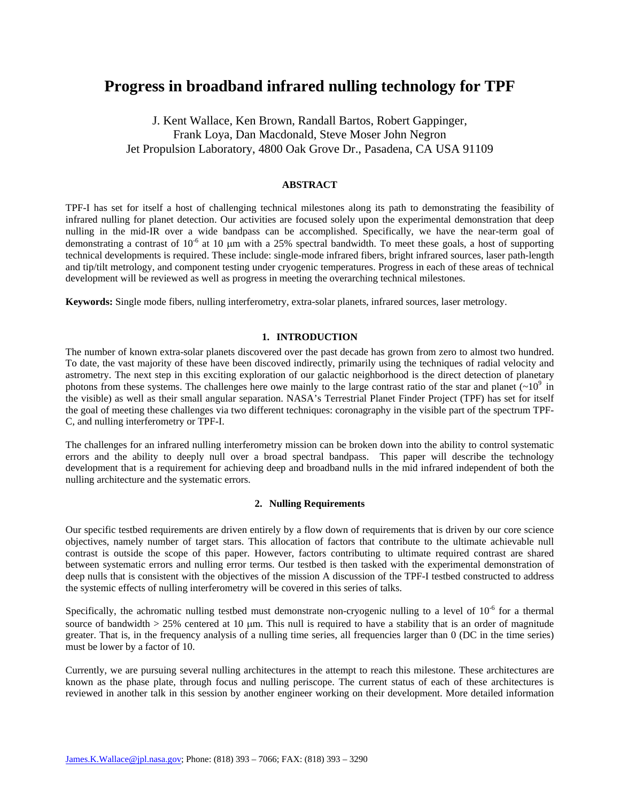# **Progress in broadband infrared nulling technology for TPF**

J. Kent Wallace, Ken Brown, Randall Bartos, Robert Gappinger, Frank Loya, Dan Macdonald, Steve Moser John Negron Jet Propulsion Laboratory, 4800 Oak Grove Dr., Pasadena, CA USA 91109

# **ABSTRACT**

TPF-I has set for itself a host of challenging technical milestones along its path to demonstrating the feasibility of infrared nulling for planet detection. Our activities are focused solely upon the experimental demonstration that deep nulling in the mid-IR over a wide bandpass can be accomplished. Specifically, we have the near-term goal of demonstrating a contrast of  $10^{-6}$  at 10 µm with a 25% spectral bandwidth. To meet these goals, a host of supporting technical developments is required. These include: single-mode infrared fibers, bright infrared sources, laser path-length and tip/tilt metrology, and component testing under cryogenic temperatures. Progress in each of these areas of technical development will be reviewed as well as progress in meeting the overarching technical milestones.

**Keywords:** Single mode fibers, nulling interferometry, extra-solar planets, infrared sources, laser metrology.

## **1. INTRODUCTION**

The number of known extra-solar planets discovered over the past decade has grown from zero to almost two hundred. To date, the vast majority of these have been discoved indirectly, primarily using the techniques of radial velocity and astrometry. The next step in this exciting exploration of our galactic neighborhood is the direct detection of planetary photons from these systems. The challenges here owe mainly to the large contrast ratio of the star and planet  $(\sim 10^9$  in the visible) as well as their small angular separation. NASA's Terrestrial Planet Finder Project (TPF) has set for itself the goal of meeting these challenges via two different techniques: coronagraphy in the visible part of the spectrum TPF-C, and nulling interferometry or TPF-I.

The challenges for an infrared nulling interferometry mission can be broken down into the ability to control systematic errors and the ability to deeply null over a broad spectral bandpass. This paper will describe the technology development that is a requirement for achieving deep and broadband nulls in the mid infrared independent of both the nulling architecture and the systematic errors.

#### **2. Nulling Requirements**

Our specific testbed requirements are driven entirely by a flow down of requirements that is driven by our core science objectives, namely number of target stars. This allocation of factors that contribute to the ultimate achievable null contrast is outside the scope of this paper. However, factors contributing to ultimate required contrast are shared between systematic errors and nulling error terms. Our testbed is then tasked with the experimental demonstration of deep nulls that is consistent with the objectives of the mission A discussion of the TPF-I testbed constructed to address the systemic effects of nulling interferometry will be covered in this series of talks.

Specifically, the achromatic nulling testbed must demonstrate non-cryogenic nulling to a level of  $10^{-6}$  for a thermal source of bandwidth  $> 25\%$  centered at 10 µm. This null is required to have a stability that is an order of magnitude greater. That is, in the frequency analysis of a nulling time series, all frequencies larger than 0 (DC in the time series) must be lower by a factor of 10.

Currently, we are pursuing several nulling architectures in the attempt to reach this milestone. These architectures are known as the phase plate, through focus and nulling periscope. The current status of each of these architectures is reviewed in another talk in this session by another engineer working on their development. More detailed information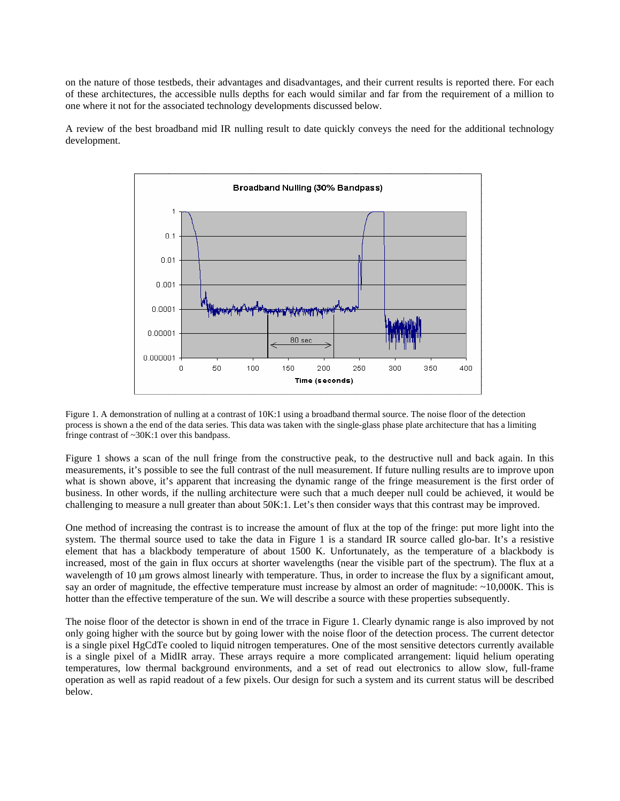on the nature of those testbeds, their advantages and disadvantages, and their current results is reported there. For each of these architectures, the accessible nulls depths for each would similar and far from the requirement of a million to one where it not for the associated technology developments discussed below.

A review of the best broadband mid IR nulling result to date quickly conveys the need for the additional technology development.



Figure 1. A demonstration of nulling at a contrast of 10K:1 using a broadband thermal source. The noise floor of the detection process is shown a the end of the data series. This data was taken with the single-glass phase plate architecture that has a limiting fringe contrast of ~30K:1 over this bandpass.

Figure 1 shows a scan of the null fringe from the constructive peak, to the destructive null and back again. In this measurements, it's possible to see the full contrast of the null measurement. If future nulling results are to improve upon what is shown above, it's apparent that increasing the dynamic range of the fringe measurement is the first order of business. In other words, if the nulling architecture were such that a much deeper null could be achieved, it would be challenging to measure a null greater than about 50K:1. Let's then consider ways that this contrast may be improved.

One method of increasing the contrast is to increase the amount of flux at the top of the fringe: put more light into the system. The thermal source used to take the data in Figure 1 is a standard IR source called glo-bar. It's a resistive element that has a blackbody temperature of about 1500 K. Unfortunately, as the temperature of a blackbody is increased, most of the gain in flux occurs at shorter wavelengths (near the visible part of the spectrum). The flux at a wavelength of 10  $\mu$ m grows almost linearly with temperature. Thus, in order to increase the flux by a significant amout, say an order of magnitude, the effective temperature must increase by almost an order of magnitude:  $\sim$ 10,000K. This is hotter than the effective temperature of the sun. We will describe a source with these properties subsequently.

The noise floor of the detector is shown in end of the trrace in Figure 1. Clearly dynamic range is also improved by not only going higher with the source but by going lower with the noise floor of the detection process. The current detector is a single pixel HgCdTe cooled to liquid nitrogen temperatures. One of the most sensitive detectors currently available is a single pixel of a MidIR array. These arrays require a more complicated arrangement: liquid helium operating temperatures, low thermal background environments, and a set of read out electronics to allow slow, full-frame operation as well as rapid readout of a few pixels. Our design for such a system and its current status will be described below.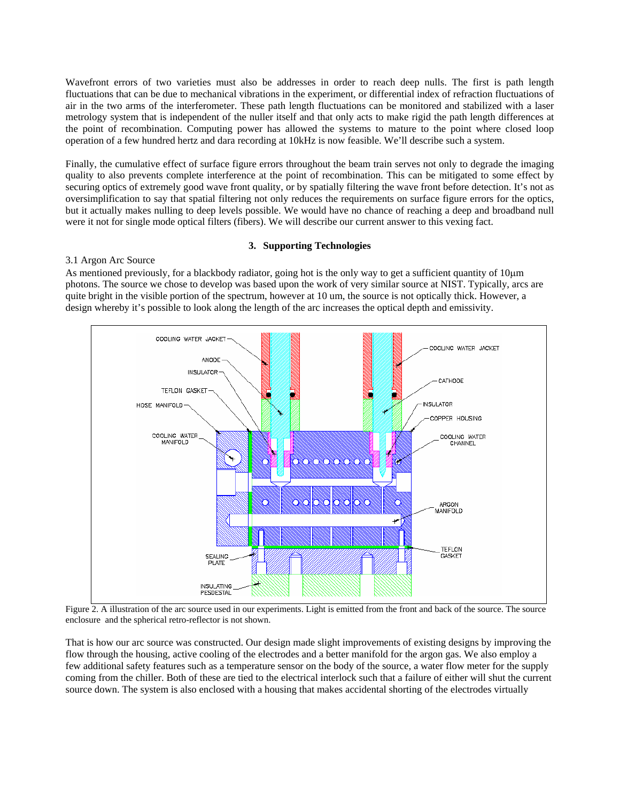Wavefront errors of two varieties must also be addresses in order to reach deep nulls. The first is path length fluctuations that can be due to mechanical vibrations in the experiment, or differential index of refraction fluctuations of air in the two arms of the interferometer. These path length fluctuations can be monitored and stabilized with a laser metrology system that is independent of the nuller itself and that only acts to make rigid the path length differences at the point of recombination. Computing power has allowed the systems to mature to the point where closed loop operation of a few hundred hertz and dara recording at 10kHz is now feasible. We'll describe such a system.

Finally, the cumulative effect of surface figure errors throughout the beam train serves not only to degrade the imaging quality to also prevents complete interference at the point of recombination. This can be mitigated to some effect by securing optics of extremely good wave front quality, or by spatially filtering the wave front before detection. It's not as oversimplification to say that spatial filtering not only reduces the requirements on surface figure errors for the optics, but it actually makes nulling to deep levels possible. We would have no chance of reaching a deep and broadband null were it not for single mode optical filters (fibers). We will describe our current answer to this vexing fact.

## **3. Supporting Technologies**

## 3.1 Argon Arc Source

As mentioned previously, for a blackbody radiator, going hot is the only way to get a sufficient quantity of  $10\mu m$ photons. The source we chose to develop was based upon the work of very similar source at NIST. Typically, arcs are quite bright in the visible portion of the spectrum, however at 10 um, the source is not optically thick. However, a design whereby it's possible to look along the length of the arc increases the optical depth and emissivity.



Figure 2. A illustration of the arc source used in our experiments. Light is emitted from the front and back of the source. The source enclosure and the spherical retro-reflector is not shown.

That is how our arc source was constructed. Our design made slight improvements of existing designs by improving the flow through the housing, active cooling of the electrodes and a better manifold for the argon gas. We also employ a few additional safety features such as a temperature sensor on the body of the source, a water flow meter for the supply coming from the chiller. Both of these are tied to the electrical interlock such that a failure of either will shut the current source down. The system is also enclosed with a housing that makes accidental shorting of the electrodes virtually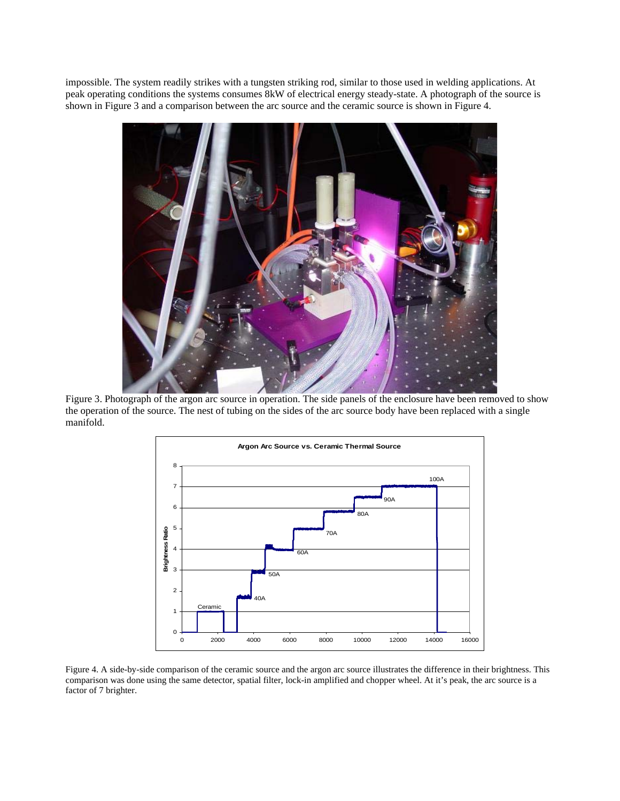impossible. The system readily strikes with a tungsten striking rod, similar to those used in welding applications. At peak operating conditions the systems consumes 8kW of electrical energy steady-state. A photograph of the source is shown in Figure 3 and a comparison between the arc source and the ceramic source is shown in Figure 4.



Figure 3. Photograph of the argon arc source in operation. The side panels of the enclosure have been removed to show the operation of the source. The nest of tubing on the sides of the arc source body have been replaced with a single manifold.



Figure 4. A side-by-side comparison of the ceramic source and the argon arc source illustrates the difference in their brightness. This comparison was done using the same detector, spatial filter, lock-in amplified and chopper wheel. At it's peak, the arc source is a factor of 7 brighter.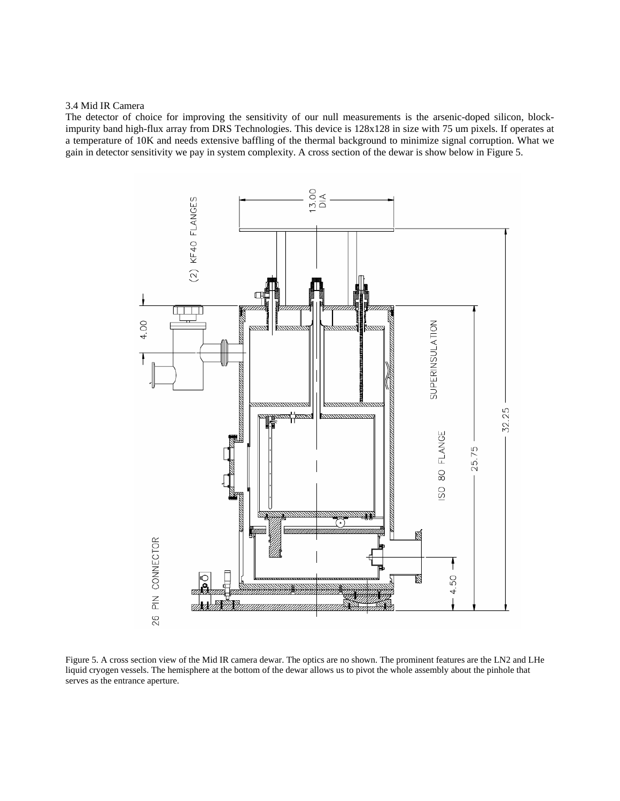#### 3.4 Mid IR Camera

The detector of choice for improving the sensitivity of our null measurements is the arsenic-doped silicon, blockimpurity band high-flux array from DRS Technologies. This device is 128x128 in size with 75 um pixels. If operates at a temperature of 10K and needs extensive baffling of the thermal background to minimize signal corruption. What we gain in detector sensitivity we pay in system complexity. A cross section of the dewar is show below in Figure 5.



Figure 5. A cross section view of the Mid IR camera dewar. The optics are no shown. The prominent features are the LN2 and LHe liquid cryogen vessels. The hemisphere at the bottom of the dewar allows us to pivot the whole assembly about the pinhole that serves as the entrance aperture.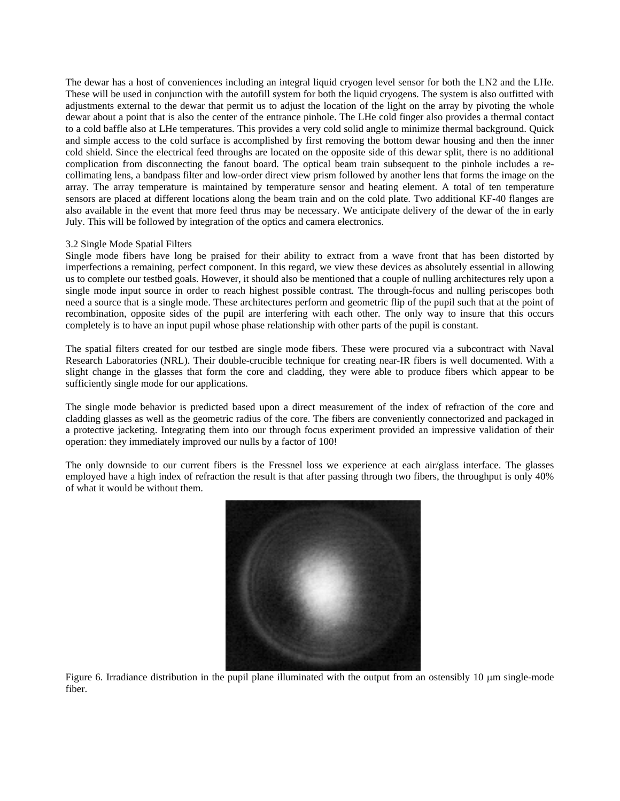The dewar has a host of conveniences including an integral liquid cryogen level sensor for both the LN2 and the LHe. These will be used in conjunction with the autofill system for both the liquid cryogens. The system is also outfitted with adjustments external to the dewar that permit us to adjust the location of the light on the array by pivoting the whole dewar about a point that is also the center of the entrance pinhole. The LHe cold finger also provides a thermal contact to a cold baffle also at LHe temperatures. This provides a very cold solid angle to minimize thermal background. Quick and simple access to the cold surface is accomplished by first removing the bottom dewar housing and then the inner cold shield. Since the electrical feed throughs are located on the opposite side of this dewar split, there is no additional complication from disconnecting the fanout board. The optical beam train subsequent to the pinhole includes a recollimating lens, a bandpass filter and low-order direct view prism followed by another lens that forms the image on the array. The array temperature is maintained by temperature sensor and heating element. A total of ten temperature sensors are placed at different locations along the beam train and on the cold plate. Two additional KF-40 flanges are also available in the event that more feed thrus may be necessary. We anticipate delivery of the dewar of the in early July. This will be followed by integration of the optics and camera electronics.

## 3.2 Single Mode Spatial Filters

Single mode fibers have long be praised for their ability to extract from a wave front that has been distorted by imperfections a remaining, perfect component. In this regard, we view these devices as absolutely essential in allowing us to complete our testbed goals. However, it should also be mentioned that a couple of nulling architectures rely upon a single mode input source in order to reach highest possible contrast. The through-focus and nulling periscopes both need a source that is a single mode. These architectures perform and geometric flip of the pupil such that at the point of recombination, opposite sides of the pupil are interfering with each other. The only way to insure that this occurs completely is to have an input pupil whose phase relationship with other parts of the pupil is constant.

The spatial filters created for our testbed are single mode fibers. These were procured via a subcontract with Naval Research Laboratories (NRL). Their double-crucible technique for creating near-IR fibers is well documented. With a slight change in the glasses that form the core and cladding, they were able to produce fibers which appear to be sufficiently single mode for our applications.

The single mode behavior is predicted based upon a direct measurement of the index of refraction of the core and cladding glasses as well as the geometric radius of the core. The fibers are conveniently connectorized and packaged in a protective jacketing. Integrating them into our through focus experiment provided an impressive validation of their operation: they immediately improved our nulls by a factor of 100!

The only downside to our current fibers is the Fressnel loss we experience at each air/glass interface. The glasses employed have a high index of refraction the result is that after passing through two fibers, the throughput is only 40% of what it would be without them.



Figure 6. Irradiance distribution in the pupil plane illuminated with the output from an ostensibly 10  $\mu$ m single-mode fiber.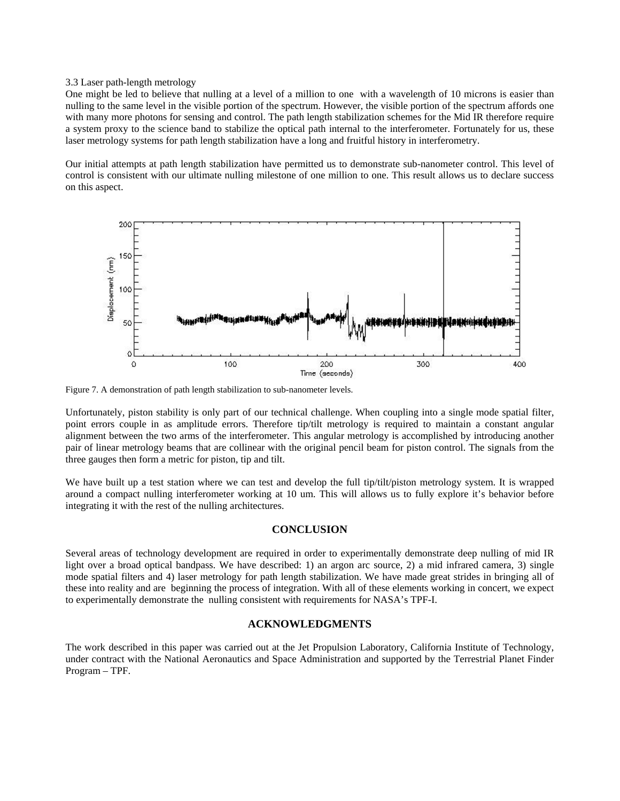#### 3.3 Laser path-length metrology

One might be led to believe that nulling at a level of a million to one with a wavelength of 10 microns is easier than nulling to the same level in the visible portion of the spectrum. However, the visible portion of the spectrum affords one with many more photons for sensing and control. The path length stabilization schemes for the Mid IR therefore require a system proxy to the science band to stabilize the optical path internal to the interferometer. Fortunately for us, these laser metrology systems for path length stabilization have a long and fruitful history in interferometry.

Our initial attempts at path length stabilization have permitted us to demonstrate sub-nanometer control. This level of control is consistent with our ultimate nulling milestone of one million to one. This result allows us to declare success on this aspect.



Figure 7. A demonstration of path length stabilization to sub-nanometer levels.

Unfortunately, piston stability is only part of our technical challenge. When coupling into a single mode spatial filter, point errors couple in as amplitude errors. Therefore tip/tilt metrology is required to maintain a constant angular alignment between the two arms of the interferometer. This angular metrology is accomplished by introducing another pair of linear metrology beams that are collinear with the original pencil beam for piston control. The signals from the three gauges then form a metric for piston, tip and tilt.

We have built up a test station where we can test and develop the full tip/tilt/piston metrology system. It is wrapped around a compact nulling interferometer working at 10 um. This will allows us to fully explore it's behavior before integrating it with the rest of the nulling architectures.

#### **CONCLUSION**

Several areas of technology development are required in order to experimentally demonstrate deep nulling of mid IR light over a broad optical bandpass. We have described: 1) an argon arc source, 2) a mid infrared camera, 3) single mode spatial filters and 4) laser metrology for path length stabilization. We have made great strides in bringing all of these into reality and are beginning the process of integration. With all of these elements working in concert, we expect to experimentally demonstrate the nulling consistent with requirements for NASA's TPF-I.

# **ACKNOWLEDGMENTS**

The work described in this paper was carried out at the Jet Propulsion Laboratory, California Institute of Technology, under contract with the National Aeronautics and Space Administration and supported by the Terrestrial Planet Finder Program – TPF.